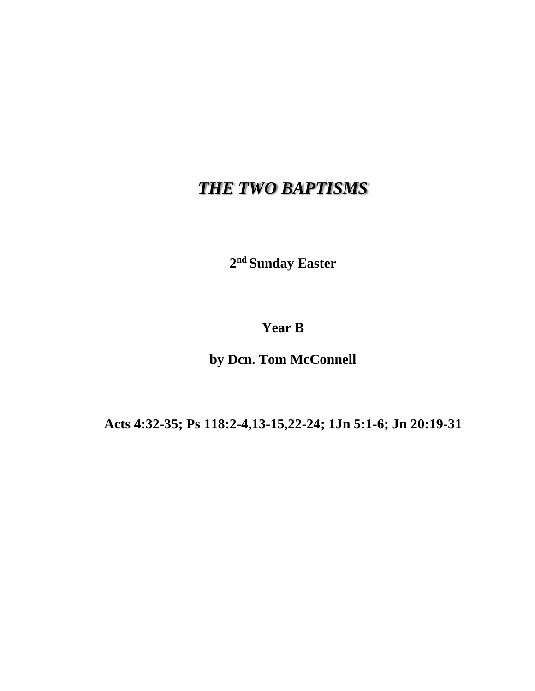## *THE TWO BAPTISMS*

**2 nd Sunday Easter**

**Year B**

**by Dcn. Tom McConnell**

**Acts 4:32-35; Ps 118:2-4,13-15,22-24; 1Jn 5:1-6; Jn 20:19-31**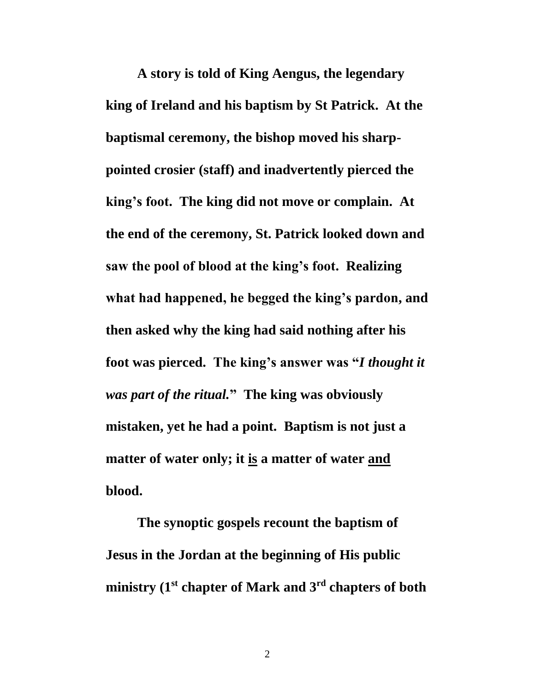**A story is told of King Aengus, the legendary king of Ireland and his baptism by St Patrick. At the baptismal ceremony, the bishop moved his sharppointed crosier (staff) and inadvertently pierced the king's foot. The king did not move or complain. At the end of the ceremony, St. Patrick looked down and saw the pool of blood at the king's foot. Realizing what had happened, he begged the king's pardon, and then asked why the king had said nothing after his foot was pierced. The king's answer was "***I thought it was part of the ritual.***" The king was obviously mistaken, yet he had a point. Baptism is not just a matter of water only; it is a matter of water and blood.**

**The synoptic gospels recount the baptism of Jesus in the Jordan at the beginning of His public ministry (1 st chapter of Mark and 3rd chapters of both**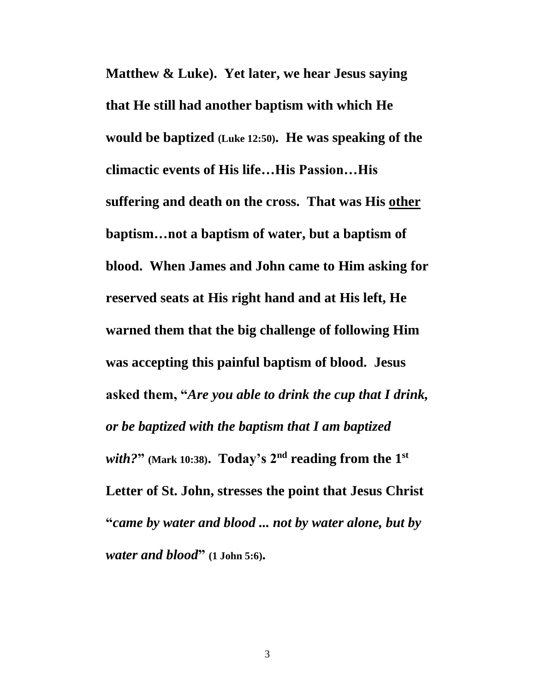**Matthew & Luke). Yet later, we hear Jesus saying that He still had another baptism with which He would be baptized (Luke 12:50). He was speaking of the climactic events of His life…His Passion…His suffering and death on the cross. That was His other baptism…not a baptism of water, but a baptism of blood. When James and John came to Him asking for reserved seats at His right hand and at His left, He warned them that the big challenge of following Him was accepting this painful baptism of blood. Jesus asked them, "***Are you able to drink the cup that I drink, or be baptized with the baptism that I am baptized with?***" (Mark 10:38). Today's 2nd reading from the 1st Letter of St. John, stresses the point that Jesus Christ "***came by water and blood ... not by water alone, but by water and blood***" (1 John 5:6).**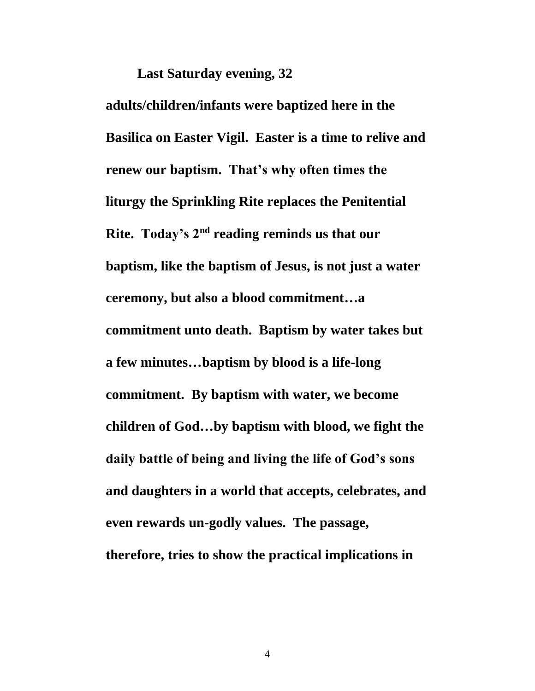## **Last Saturday evening, 32**

**adults/children/infants were baptized here in the Basilica on Easter Vigil. Easter is a time to relive and renew our baptism. That's why often times the liturgy the Sprinkling Rite replaces the Penitential Rite. Today's 2nd reading reminds us that our baptism, like the baptism of Jesus, is not just a water ceremony, but also a blood commitment…a commitment unto death. Baptism by water takes but a few minutes…baptism by blood is a life-long commitment. By baptism with water, we become children of God…by baptism with blood, we fight the daily battle of being and living the life of God's sons and daughters in a world that accepts, celebrates, and even rewards un-godly values. The passage, therefore, tries to show the practical implications in**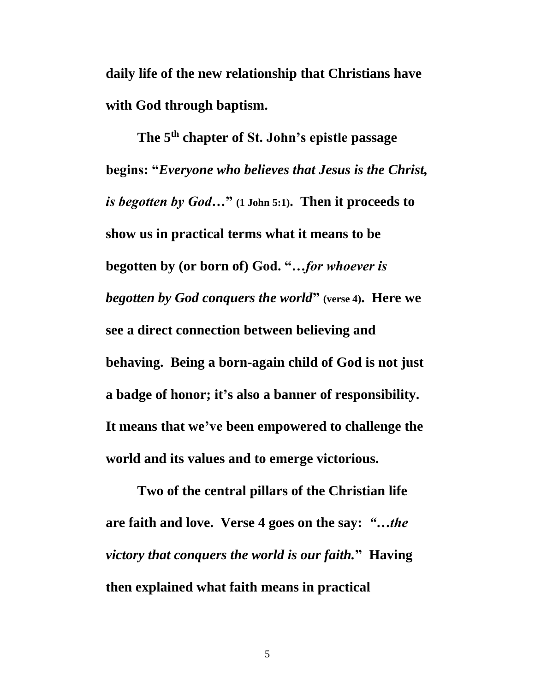**daily life of the new relationship that Christians have with God through baptism.**

**The 5th chapter of St. John's epistle passage begins: "***Everyone who believes that Jesus is the Christ, is begotten by God…***" (1 John 5:1). Then it proceeds to show us in practical terms what it means to be begotten by (or born of) God. "***…for whoever is begotten by God conquers the world***" (verse 4). Here we see a direct connection between believing and behaving. Being a born-again child of God is not just a badge of honor; it's also a banner of responsibility. It means that we've been empowered to challenge the world and its values and to emerge victorious.**

**Two of the central pillars of the Christian life are faith and love. Verse 4 goes on the say:** *"…the victory that conquers the world is our faith.***" Having then explained what faith means in practical**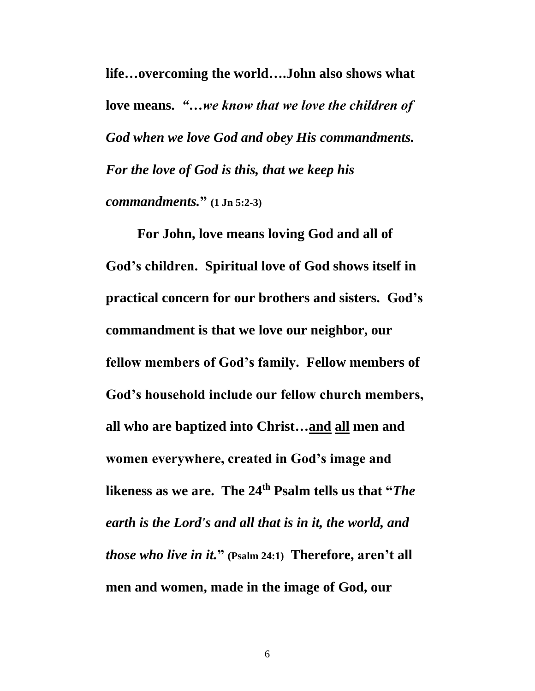**life…overcoming the world….John also shows what love means.** *"…we know that we love the children of God when we love God and obey His commandments. For the love of God is this, that we keep his commandments.***" (1 Jn 5:2-3)**

**For John, love means loving God and all of God's children. Spiritual love of God shows itself in practical concern for our brothers and sisters. God's commandment is that we love our neighbor, our fellow members of God's family. Fellow members of God's household include our fellow church members, all who are baptized into Christ…and all men and women everywhere, created in God's image and likeness as we are. The 24th Psalm tells us that "***The earth is the Lord's and all that is in it, the world, and those who live in it.***" (Psalm 24:1) Therefore, aren't all men and women, made in the image of God, our**